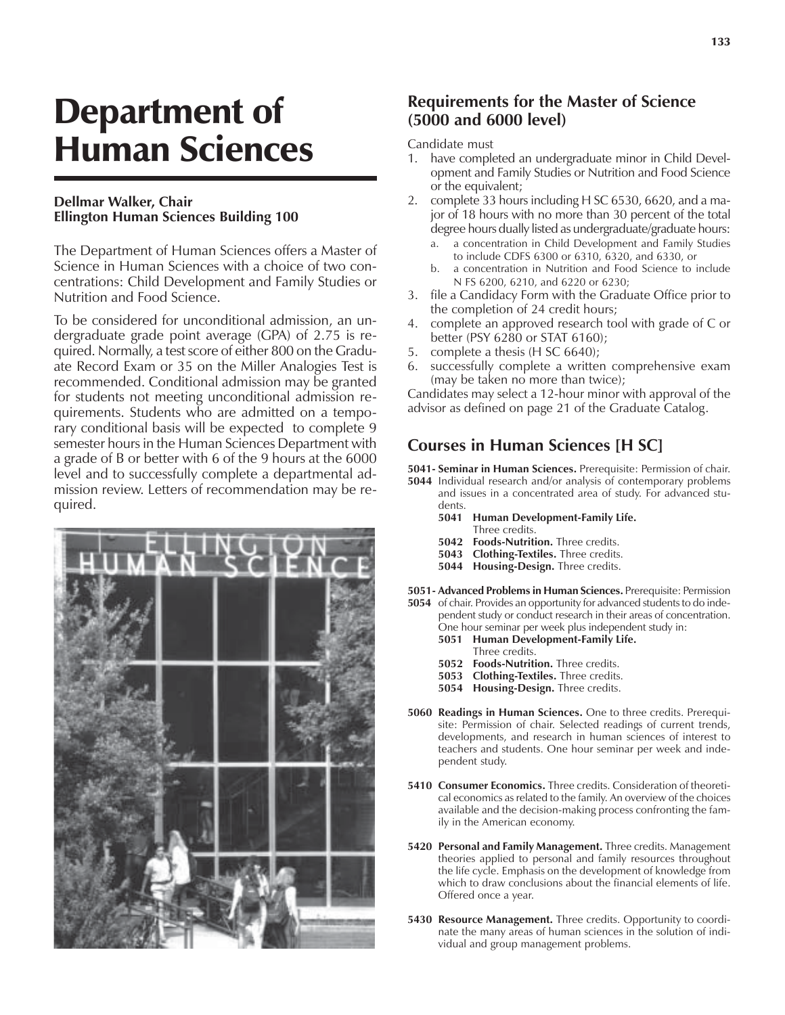# Department of Human Sciences

#### **Dellmar Walker, Chair Ellington Human Sciences Building 100**

The Department of Human Sciences offers a Master of Science in Human Sciences with a choice of two concentrations: Child Development and Family Studies or Nutrition and Food Science.

To be considered for unconditional admission, an undergraduate grade point average (GPA) of 2.75 is required. Normally, a test score of either 800 on the Graduate Record Exam or 35 on the Miller Analogies Test is recommended. Conditional admission may be granted for students not meeting unconditional admission requirements. Students who are admitted on a temporary conditional basis will be expected to complete 9 semester hours in the Human Sciences Department with a grade of B or better with 6 of the 9 hours at the 6000 level and to successfully complete a departmental admission review. Letters of recommendation may be required.



#### **Requirements for the Master of Science (5000 and 6000 level)**

Candidate must

- 1. have completed an undergraduate minor in Child Development and Family Studies or Nutrition and Food Science or the equivalent;
- 2. complete 33 hours including H SC 6530, 6620, and a major of 18 hours with no more than 30 percent of the total degree hours dually listed as undergraduate/graduate hours:
	- a. a concentration in Child Development and Family Studies to include CDFS 6300 or 6310, 6320, and 6330, or
	- b. a concentration in Nutrition and Food Science to include N FS 6200, 6210, and 6220 or 6230;
- 3. file a Candidacy Form with the Graduate Office prior to the completion of 24 credit hours;
- 4. complete an approved research tool with grade of C or better (PSY 6280 or STAT 6160);
- 5. complete a thesis (H SC 6640);
- 6. successfully complete a written comprehensive exam (may be taken no more than twice);

Candidates may select a 12-hour minor with approval of the advisor as defined on page 21 of the Graduate Catalog.

# **Courses in Human Sciences [H SC]**

**5041- Seminar in Human Sciences.** Prerequisite: Permission of chair.

- **5044** Individual research and/or analysis of contemporary problems and issues in a concentrated area of study. For advanced students.
	- **5041 Human Development-Family Life.** Three credits.
	- **5042 Foods-Nutrition.** Three credits.
	- **5043 Clothing-Textiles.** Three credits.
	- **5044 Housing-Design.** Three credits.
- **5051- Advanced Problems in Human Sciences.** Prerequisite: Permission
- **5054** of chair. Provides an opportunity for advanced students to do independent study or conduct research in their areas of concentration. One hour seminar per week plus independent study in:
	- **5051 Human Development-Family Life.**
	- Three credits.
	- **5052 Foods-Nutrition.** Three credits.
	- **5053 Clothing-Textiles.** Three credits.
	- **5054 Housing-Design.** Three credits.
- **5060 Readings in Human Sciences.** One to three credits. Prerequisite: Permission of chair. Selected readings of current trends, developments, and research in human sciences of interest to teachers and students. One hour seminar per week and independent study.
- **5410 Consumer Economics.** Three credits. Consideration of theoretical economics as related to the family. An overview of the choices available and the decision-making process confronting the family in the American economy.
- **5420 Personal and Family Management.** Three credits. Management theories applied to personal and family resources throughout the life cycle. Emphasis on the development of knowledge from which to draw conclusions about the financial elements of life. Offered once a year.
- **5430 Resource Management.** Three credits. Opportunity to coordinate the many areas of human sciences in the solution of individual and group management problems.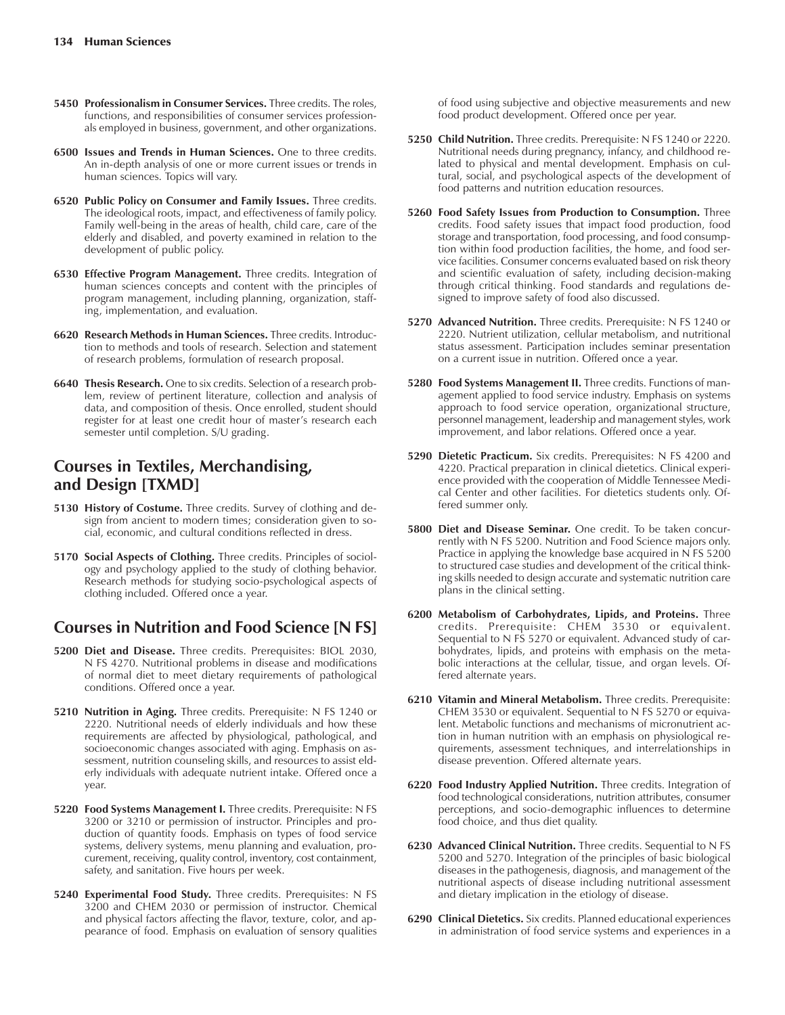- **5450 Professionalism in Consumer Services.** Three credits. The roles, functions, and responsibilities of consumer services professionals employed in business, government, and other organizations.
- **6500 Issues and Trends in Human Sciences.** One to three credits. An in-depth analysis of one or more current issues or trends in human sciences. Topics will vary.
- **6520 Public Policy on Consumer and Family Issues.** Three credits. The ideological roots, impact, and effectiveness of family policy. Family well-being in the areas of health, child care, care of the elderly and disabled, and poverty examined in relation to the development of public policy.
- **6530 Effective Program Management.** Three credits. Integration of human sciences concepts and content with the principles of program management, including planning, organization, staffing, implementation, and evaluation.
- **6620 Research Methods in Human Sciences.** Three credits. Introduction to methods and tools of research. Selection and statement of research problems, formulation of research proposal.
- **6640 Thesis Research.** One to six credits. Selection of a research problem, review of pertinent literature, collection and analysis of data, and composition of thesis. Once enrolled, student should register for at least one credit hour of master's research each semester until completion. S/U grading.

## **Courses in Textiles, Merchandising, and Design [TXMD]**

- **5130 History of Costume.** Three credits. Survey of clothing and design from ancient to modern times; consideration given to social, economic, and cultural conditions reflected in dress.
- **5170 Social Aspects of Clothing.** Three credits. Principles of sociology and psychology applied to the study of clothing behavior. Research methods for studying socio-psychological aspects of clothing included. Offered once a year.

## **Courses in Nutrition and Food Science [N FS]**

- **5200 Diet and Disease.** Three credits. Prerequisites: BIOL 2030, N FS 4270. Nutritional problems in disease and modifications of normal diet to meet dietary requirements of pathological conditions. Offered once a year.
- **5210 Nutrition in Aging.** Three credits. Prerequisite: N FS 1240 or 2220. Nutritional needs of elderly individuals and how these requirements are affected by physiological, pathological, and socioeconomic changes associated with aging. Emphasis on assessment, nutrition counseling skills, and resources to assist elderly individuals with adequate nutrient intake. Offered once a year.
- **5220 Food Systems Management I.** Three credits. Prerequisite: N FS 3200 or 3210 or permission of instructor. Principles and production of quantity foods. Emphasis on types of food service systems, delivery systems, menu planning and evaluation, procurement, receiving, quality control, inventory, cost containment, safety, and sanitation. Five hours per week.
- **5240 Experimental Food Study.** Three credits. Prerequisites: N FS 3200 and CHEM 2030 or permission of instructor. Chemical and physical factors affecting the flavor, texture, color, and appearance of food. Emphasis on evaluation of sensory qualities

of food using subjective and objective measurements and new food product development. Offered once per year.

- **5250 Child Nutrition.** Three credits. Prerequisite: N FS 1240 or 2220. Nutritional needs during pregnancy, infancy, and childhood related to physical and mental development. Emphasis on cultural, social, and psychological aspects of the development of food patterns and nutrition education resources.
- **5260 Food Safety Issues from Production to Consumption.** Three credits. Food safety issues that impact food production, food storage and transportation, food processing, and food consumption within food production facilities, the home, and food service facilities. Consumer concerns evaluated based on risk theory and scientific evaluation of safety, including decision-making through critical thinking. Food standards and regulations designed to improve safety of food also discussed.
- **5270 Advanced Nutrition.** Three credits. Prerequisite: N FS 1240 or 2220. Nutrient utilization, cellular metabolism, and nutritional status assessment. Participation includes seminar presentation on a current issue in nutrition. Offered once a year.
- **5280 Food Systems Management II.** Three credits. Functions of management applied to food service industry. Emphasis on systems approach to food service operation, organizational structure, personnel management, leadership and management styles, work improvement, and labor relations. Offered once a year.
- **5290 Dietetic Practicum.** Six credits. Prerequisites: N FS 4200 and 4220. Practical preparation in clinical dietetics. Clinical experience provided with the cooperation of Middle Tennessee Medical Center and other facilities. For dietetics students only. Offered summer only.
- **5800 Diet and Disease Seminar.** One credit. To be taken concurrently with N FS 5200. Nutrition and Food Science majors only. Practice in applying the knowledge base acquired in N FS 5200 to structured case studies and development of the critical thinking skills needed to design accurate and systematic nutrition care plans in the clinical setting.
- **6200 Metabolism of Carbohydrates, Lipids, and Proteins.** Three credits. Prerequisite: CHEM 3530 or equivalent. Sequential to N FS 5270 or equivalent. Advanced study of carbohydrates, lipids, and proteins with emphasis on the metabolic interactions at the cellular, tissue, and organ levels. Offered alternate years.
- **6210 Vitamin and Mineral Metabolism.** Three credits. Prerequisite: CHEM 3530 or equivalent. Sequential to N FS 5270 or equivalent. Metabolic functions and mechanisms of micronutrient action in human nutrition with an emphasis on physiological requirements, assessment techniques, and interrelationships in disease prevention. Offered alternate years.
- **6220 Food Industry Applied Nutrition.** Three credits. Integration of food technological considerations, nutrition attributes, consumer perceptions, and socio-demographic influences to determine food choice, and thus diet quality.
- **6230 Advanced Clinical Nutrition.** Three credits. Sequential to N FS 5200 and 5270. Integration of the principles of basic biological diseases in the pathogenesis, diagnosis, and management of the nutritional aspects of disease including nutritional assessment and dietary implication in the etiology of disease.
- **6290 Clinical Dietetics.** Six credits. Planned educational experiences in administration of food service systems and experiences in a